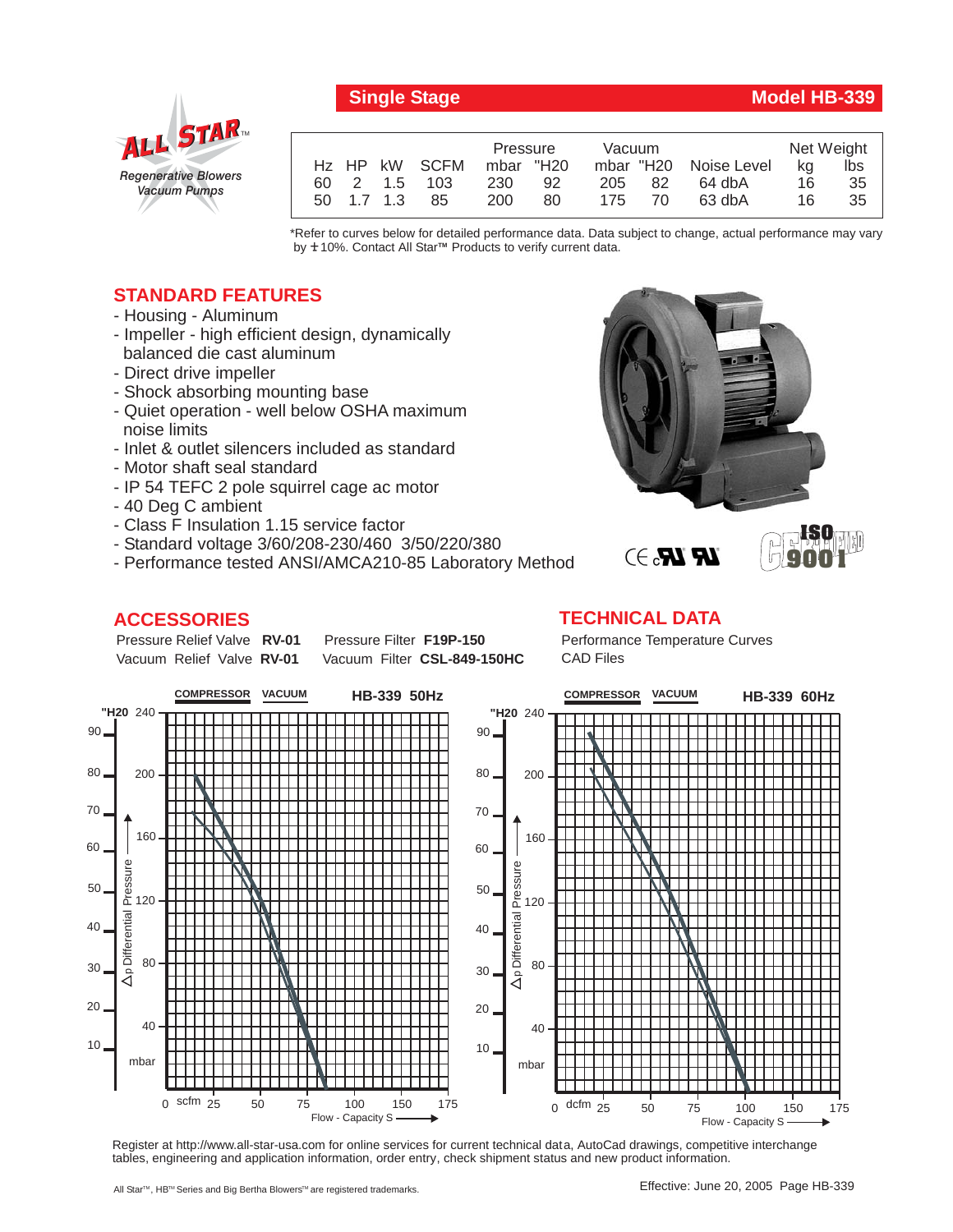

| <b>Single Stage</b> |  |  |
|---------------------|--|--|
|---------------------|--|--|

## **Model HB-339**

**ISO 9001**

|  |  |               | Pressure  |    | Vacuum |        |                       | Net Weight |     |
|--|--|---------------|-----------|----|--------|--------|-----------------------|------------|-----|
|  |  | Hz HP kW SCFM | mbar "H20 |    |        |        | mbar "H20 Noise Level | ka         | lbs |
|  |  | 60 2 1.5 103  | 230       | 92 |        | 205 82 | 64 dbA                | 16         | 35  |
|  |  | 50 1.7 1.3 85 | 200       | 80 | 175    | 70     | 63 dbA                | 16         | 35  |

\*Refer to curves below for detailed performance data. Data subject to change, actual performance may vary by **+** 10%. Contact All Star™ Products to verify current data.

## **STANDARD FEATURES**

- Housing Aluminum
- Impeller high efficient design, dynamically balanced die cast aluminum
- Direct drive impeller
- Shock absorbing mounting base
- Quiet operation well below OSHA maximum noise limits
- Inlet & outlet silencers included as standard
- Motor shaft seal standard
- IP 54 TEFC 2 pole squirrel cage ac motor
- 40 Deg C ambient
- Class F Insulation 1.15 service factor
- Standard voltage 3/60/208-230/460 3/50/220/380
- Performance tested ANSI/AMCA210-85 Laboratory Method

## **ACCESSORIES**

 $\mathbb{R}$   $\mathbb{R}$ . $\ni$ **TECHNICAL DATA**

Pressure Relief Valve RV-01 Vacuum Relief Valve RV-01

**Pressure Filter F19P-150** Vacuum Filter CSL-849-150HC Performance Temperature Curves CAD Files



Register at http://www.all-star-usa.com for online services for current technical data, AutoCad drawings, competitive interchange tables, engineering and application information, order entry, check shipment status and new product information.